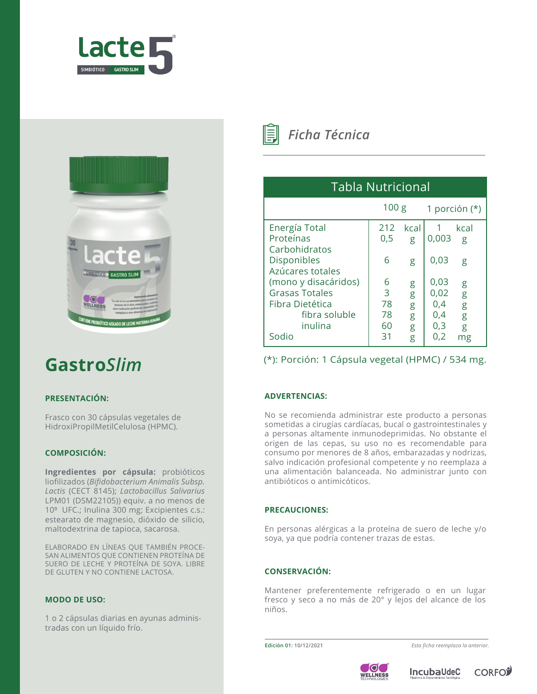



# **Gastro***Slim*

## **PRESENTACIÓN:**

Frasco con 30 cápsulas vegetales de HidroxiPropilMetilCelulosa (HPMC).

# **COMPOSICIÓN:**

**Ingredientes por cápsula:** probióticos liofilizados (*Bifidobacterium Animalis Subsp. Lactis* (CECT 8145); *Lactobacillus Salivarius* LPM01 (DSM22105)) equiv. a no menos de 10<sup>9</sup> UFC.; Inulina 300 mg; Excipientes c.s.: estearato de magnesio, dióxido de silicio, maltodextrina de tapioca, sacarosa.

ELABORADO EN LÍNEAS QUE TAMBIÉN PROCE-SAN ALIMENTOS QUE CONTIENEN PROTEÍNA DE SUERO DE LECHE Y PROTEÍNA DE SOYA. LIBRE DE GLUTEN Y NO CONTIENE LACTOSA.

## **MODO DE USO:**

1 o 2 cápsulas diarias en ayunas administradas con un líquido frío.



*Ficha Técnica*

| Tabla Nutricional                                                                                     |                                |                            |                                          |                             |
|-------------------------------------------------------------------------------------------------------|--------------------------------|----------------------------|------------------------------------------|-----------------------------|
|                                                                                                       | 100 <sub>g</sub>               |                            | 1 porción $(*)$                          |                             |
| Energía Total<br>Proteínas<br>Carbohidratos                                                           | 212<br>0,5                     | kcal<br>g                  | 0,003                                    | kcal<br>g                   |
| <b>Disponibles</b><br>Azúcares totales                                                                | 6                              | g                          | 0,03                                     | g                           |
| (mono y disacáridos)<br><b>Grasas Totales</b><br>Fibra Dietética<br>fibra soluble<br>inulina<br>Sodio | 6<br>3<br>78<br>78<br>60<br>31 | g<br>g<br>g<br>g<br>g<br>g | 0,03<br>0,02<br>0,4<br>0,4<br>0,3<br>0,2 | g<br>g<br>g<br>g<br>g<br>mg |

(\*): Porción: 1 Cápsula vegetal (HPMC) / 534 mg.

## **ADVERTENCIAS:**

No se recomienda administrar este producto a personas sometidas a cirugías cardíacas, bucal o gastrointestinales y a personas altamente inmunodeprimidas. No obstante el origen de las cepas, su uso no es recomendable para consumo por menores de 8 años, embarazadas y nodrizas, salvo indicación profesional competente y no reemplaza a una alimentación balanceada. No administrar junto con antibióticos o antimicóticos.

## **PRECAUCIONES:**

En personas alérgicas a la proteína de suero de leche y/o soya, ya que podría contener trazas de estas.

# **CONSERVACIÓN:**

Mantener preferentemente refrigerado o en un lugar fresco y seco a no más de 20° y lejos del alcance de los niños.

**Edición 01: 10/12/2021** *Esta ficha reemplaza la anterior.*